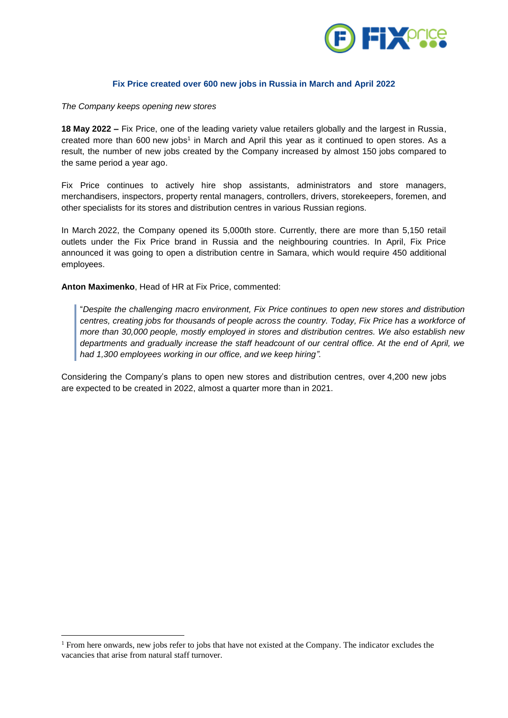

## **Fix Price created over 600 new jobs in Russia in March and April 2022**

*The Company keeps opening new stores*

**18 May 2022 –** Fix Price, one of the leading variety value retailers globally and the largest in Russia, created more than 600 new jobs<sup>1</sup> in March and April this year as it continued to open stores. As a result, the number of new jobs created by the Company increased by almost 150 jobs compared to the same period a year ago.

Fix Price continues to actively hire shop assistants, administrators and store managers, merchandisers, inspectors, property rental managers, controllers, drivers, storekeepers, foremen, and other specialists for its stores and distribution centres in various Russian regions.

In March 2022, the Company opened its 5,000th store. Currently, there are more than 5,150 retail outlets under the Fix Price brand in Russia and the neighbouring countries. In April, Fix Price announced it was going to open a distribution centre in Samara, which would require 450 additional employees.

**Anton Maximenko**, Head of HR at Fix Price, commented:

1

"*Despite the challenging macro environment, Fix Price continues to open new stores and distribution centres, creating jobs for thousands of people across the country. Today, Fix Price has a workforce of more than 30,000 people, mostly employed in stores and distribution centres. We also establish new departments and gradually increase the staff headcount of our central office. At the end of April, we had 1,300 employees working in our office, and we keep hiring".*

Considering the Company's plans to open new stores and distribution centres, over 4,200 new jobs are expected to be created in 2022, almost a quarter more than in 2021.

<sup>1</sup> From here onwards, new jobs refer to jobs that have not existed at the Company. The indicator excludes the vacancies that arise from natural staff turnover.